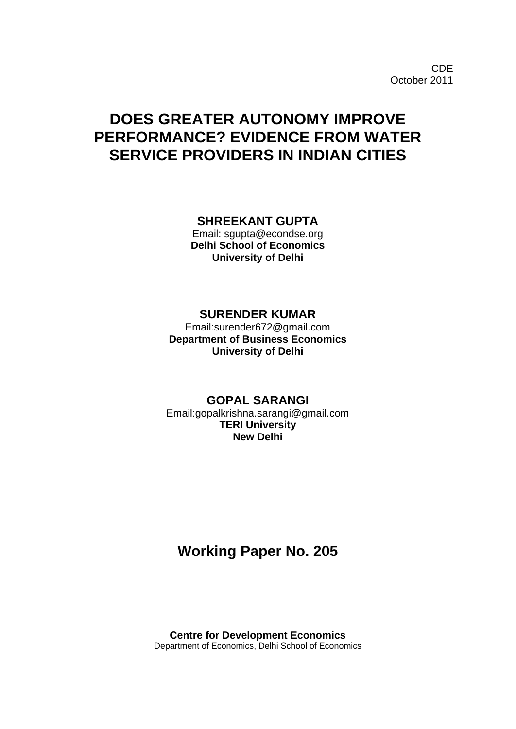# **DOES GREATER AUTONOMY IMPROVE PERFORMANCE? EVIDENCE FROM WATER SERVICE PROVIDERS IN INDIAN CITIES**

## **SHREEKANT GUPTA**

Email: sgupta@econdse.org **Delhi School of Economics University of Delhi**

## **SURENDER KUMAR**

Email:surender672@gmail.com **Department of Business Economics University of Delhi**

## **GOPAL SARANGI**

Email:gopalkrishna.sarangi@gmail.com **TERI University New Delhi**

## **Working Paper No. 205**

**Centre for Development Economics** Department of Economics, Delhi School of Economics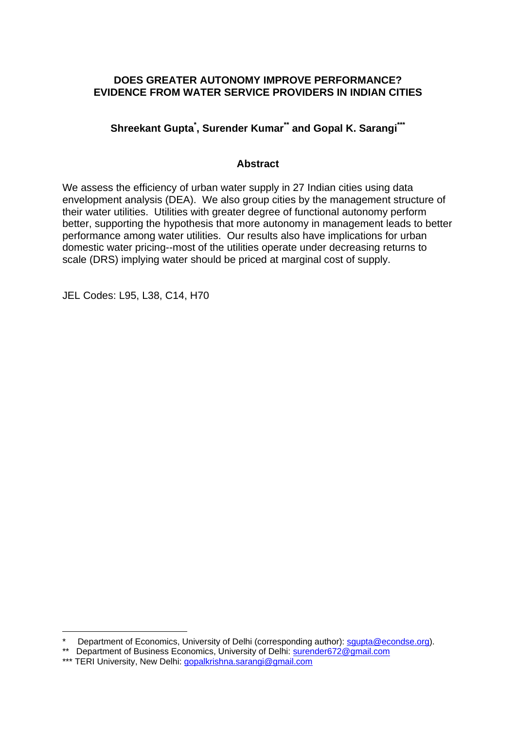## **DOES GREATER AUTONOMY IMPROVE PERFORMANCE? EVIDENCE FROM WATER SERVICE PROVIDERS IN INDIAN CITIES**

**Shreekant Gupta\* , Surender Kumar\*\* and Gopal K. Sarangi\*\*\***

## **Abstract**

We assess the efficiency of urban water supply in 27 Indian cities using data envelopment analysis (DEA). We also group cities by the management structure of their water utilities. Utilities with greater degree of functional autonomy perform better, supporting the hypothesis that more autonomy in management leads to better performance among water utilities. Our results also have implications for urban domestic water pricing--most of the utilities operate under decreasing returns to scale (DRS) implying water should be priced at marginal cost of supply.

JEL Codes: L95, L38, C14, H70

1

<sup>\*</sup> Department of Economics, University of Delhi (corresponding author): squpta@econdse.org).

<sup>\*\*</sup> Department of Business Economics, University of Delhi: surender672@gmail.com

<sup>\*\*\*</sup> TERI University, New Delhi: gopalkrishna.sarangi@gmail.com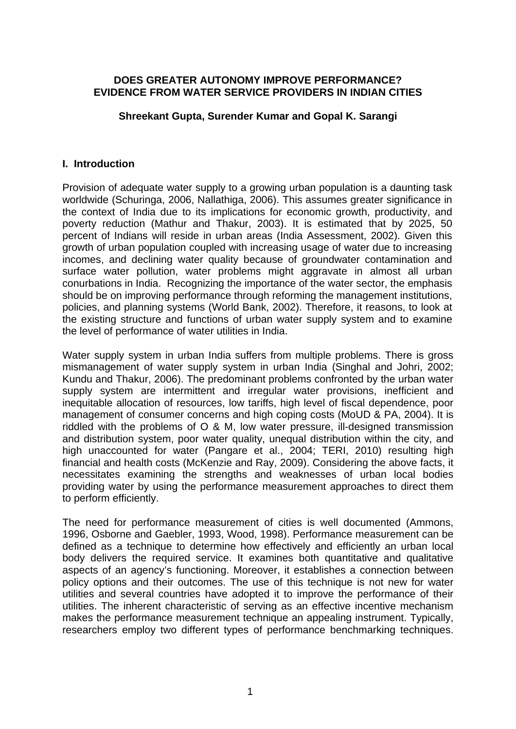## **DOES GREATER AUTONOMY IMPROVE PERFORMANCE? EVIDENCE FROM WATER SERVICE PROVIDERS IN INDIAN CITIES**

## **Shreekant Gupta, Surender Kumar and Gopal K. Sarangi**

#### **I. Introduction**

Provision of adequate water supply to a growing urban population is a daunting task worldwide (Schuringa, 2006, Nallathiga, 2006). This assumes greater significance in the context of India due to its implications for economic growth, productivity, and poverty reduction (Mathur and Thakur, 2003). It is estimated that by 2025, 50 percent of Indians will reside in urban areas (India Assessment, 2002). Given this growth of urban population coupled with increasing usage of water due to increasing incomes, and declining water quality because of groundwater contamination and surface water pollution, water problems might aggravate in almost all urban conurbations in India. Recognizing the importance of the water sector, the emphasis should be on improving performance through reforming the management institutions, policies, and planning systems (World Bank, 2002). Therefore, it reasons, to look at the existing structure and functions of urban water supply system and to examine the level of performance of water utilities in India.

Water supply system in urban India suffers from multiple problems. There is gross mismanagement of water supply system in urban India (Singhal and Johri, 2002; Kundu and Thakur, 2006). The predominant problems confronted by the urban water supply system are intermittent and irregular water provisions, inefficient and inequitable allocation of resources, low tariffs, high level of fiscal dependence, poor management of consumer concerns and high coping costs (MoUD & PA, 2004). It is riddled with the problems of O & M, low water pressure, ill-designed transmission and distribution system, poor water quality, unequal distribution within the city, and high unaccounted for water (Pangare et al., 2004; TERI, 2010) resulting high financial and health costs (McKenzie and Ray, 2009). Considering the above facts, it necessitates examining the strengths and weaknesses of urban local bodies providing water by using the performance measurement approaches to direct them to perform efficiently.

The need for performance measurement of cities is well documented (Ammons, 1996, Osborne and Gaebler, 1993, Wood, 1998). Performance measurement can be defined as a technique to determine how effectively and efficiently an urban local body delivers the required service. It examines both quantitative and qualitative aspects of an agency's functioning. Moreover, it establishes a connection between policy options and their outcomes. The use of this technique is not new for water utilities and several countries have adopted it to improve the performance of their utilities. The inherent characteristic of serving as an effective incentive mechanism makes the performance measurement technique an appealing instrument. Typically, researchers employ two different types of performance benchmarking techniques.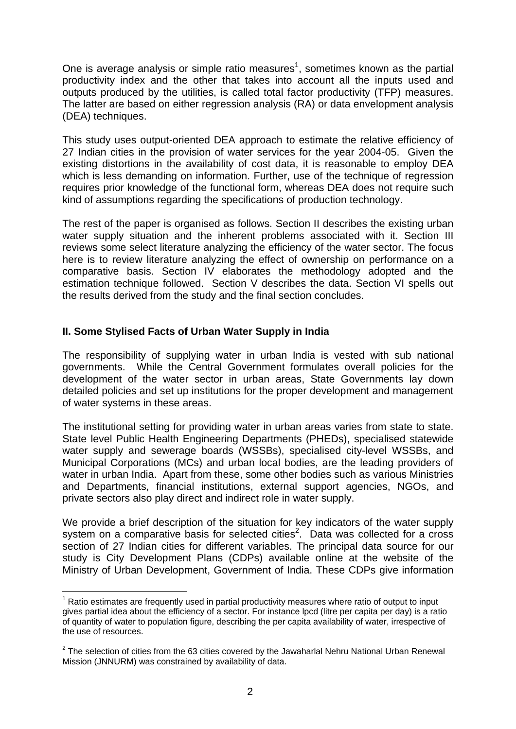One is average analysis or simple ratio measures<sup>1</sup>, sometimes known as the partial productivity index and the other that takes into account all the inputs used and outputs produced by the utilities, is called total factor productivity (TFP) measures. The latter are based on either regression analysis (RA) or data envelopment analysis (DEA) techniques.

This study uses output-oriented DEA approach to estimate the relative efficiency of 27 Indian cities in the provision of water services for the year 2004-05. Given the existing distortions in the availability of cost data, it is reasonable to employ DEA which is less demanding on information. Further, use of the technique of regression requires prior knowledge of the functional form, whereas DEA does not require such kind of assumptions regarding the specifications of production technology.

The rest of the paper is organised as follows. Section II describes the existing urban water supply situation and the inherent problems associated with it. Section III reviews some select literature analyzing the efficiency of the water sector. The focus here is to review literature analyzing the effect of ownership on performance on a comparative basis. Section IV elaborates the methodology adopted and the estimation technique followed. Section V describes the data. Section VI spells out the results derived from the study and the final section concludes.

## **II. Some Stylised Facts of Urban Water Supply in India**

1

The responsibility of supplying water in urban India is vested with sub national governments. While the Central Government formulates overall policies for the development of the water sector in urban areas, State Governments lay down detailed policies and set up institutions for the proper development and management of water systems in these areas.

The institutional setting for providing water in urban areas varies from state to state. State level Public Health Engineering Departments (PHEDs), specialised statewide water supply and sewerage boards (WSSBs), specialised city-level WSSBs, and Municipal Corporations (MCs) and urban local bodies, are the leading providers of water in urban India. Apart from these, some other bodies such as various Ministries and Departments, financial institutions, external support agencies, NGOs, and private sectors also play direct and indirect role in water supply.

We provide a brief description of the situation for key indicators of the water supply system on a comparative basis for selected cities<sup>2</sup>. Data was collected for a cross section of 27 Indian cities for different variables. The principal data source for our study is City Development Plans (CDPs) available online at the website of the Ministry of Urban Development, Government of India. These CDPs give information

<sup>&</sup>lt;sup>1</sup> Ratio estimates are frequently used in partial productivity measures where ratio of output to input gives partial idea about the efficiency of a sector. For instance lpcd (litre per capita per day) is a ratio of quantity of water to population figure, describing the per capita availability of water, irrespective of the use of resources.

 $2$  The selection of cities from the 63 cities covered by the Jawaharlal Nehru National Urban Renewal Mission (JNNURM) was constrained by availability of data.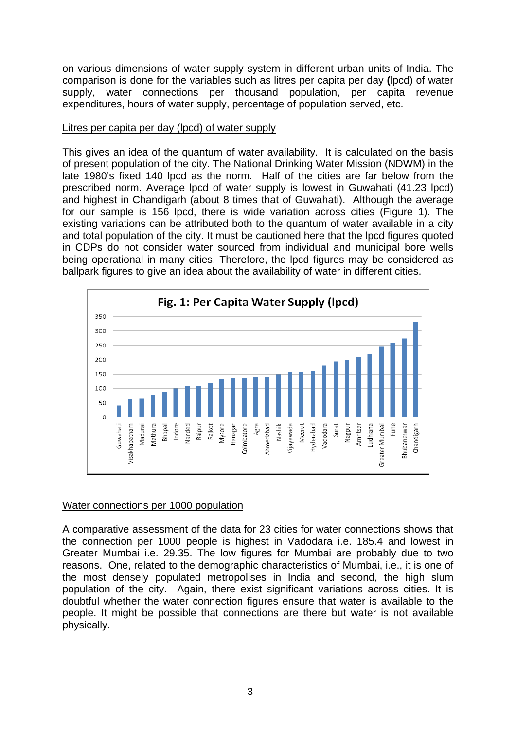on various dimensions of water supply system in different urban units of India. The comparison is done for the variables such as litres per capita per day **(**lpcd) of water supply, water connections per thousand population, per capita revenue expenditures, hours of water supply, percentage of population served, etc.

#### Litres per capita per day (lpcd) of water supply

This gives an idea of the quantum of water availability. It is calculated on the basis of present population of the city. The National Drinking Water Mission (NDWM) in the late 1980's fixed 140 lpcd as the norm. Half of the cities are far below from the prescribed norm. Average lpcd of water supply is lowest in Guwahati (41.23 lpcd) and highest in Chandigarh (about 8 times that of Guwahati). Although the average for our sample is 156 lpcd, there is wide variation across cities (Figure 1). The existing variations can be attributed both to the quantum of water available in a city and total population of the city. It must be cautioned here that the lpcd figures quoted in CDPs do not consider water sourced from individual and municipal bore wells being operational in many cities. Therefore, the lpcd figures may be considered as ballpark figures to give an idea about the availability of water in different cities.



## Water connections per 1000 population

A comparative assessment of the data for 23 cities for water connections shows that the connection per 1000 people is highest in Vadodara i.e. 185.4 and lowest in Greater Mumbai i.e. 29.35. The low figures for Mumbai are probably due to two reasons. One, related to the demographic characteristics of Mumbai, i.e., it is one of the most densely populated metropolises in India and second, the high slum population of the city. Again, there exist significant variations across cities. It is doubtful whether the water connection figures ensure that water is available to the people. It might be possible that connections are there but water is not available physically.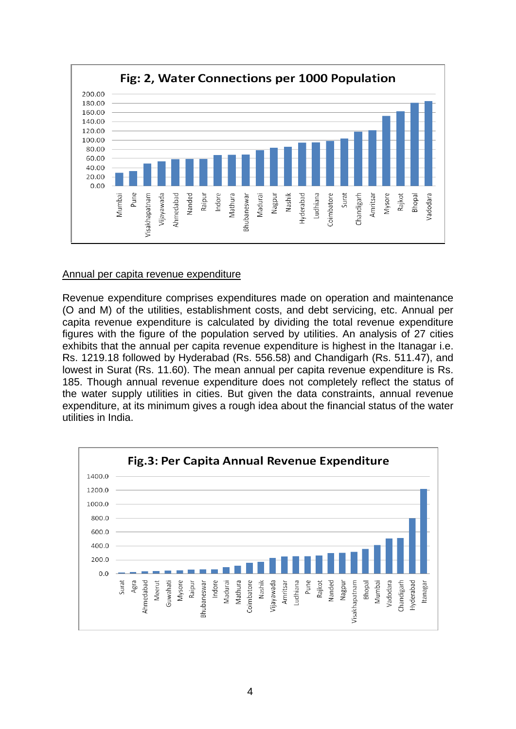

#### Annual per capita revenue expenditure

Revenue expenditure comprises expenditures made on operation and maintenance (O and M) of the utilities, establishment costs, and debt servicing, etc. Annual per capita revenue expenditure is calculated by dividing the total revenue expenditure figures with the figure of the population served by utilities. An analysis of 27 cities exhibits that the annual per capita revenue expenditure is highest in the Itanagar i.e. Rs. 1219.18 followed by Hyderabad (Rs. 556.58) and Chandigarh (Rs. 511.47), and lowest in Surat (Rs. 11.60). The mean annual per capita revenue expenditure is Rs. 185. Though annual revenue expenditure does not completely reflect the status of the water supply utilities in cities. But given the data constraints, annual revenue expenditure, at its minimum gives a rough idea about the financial status of the water utilities in India.

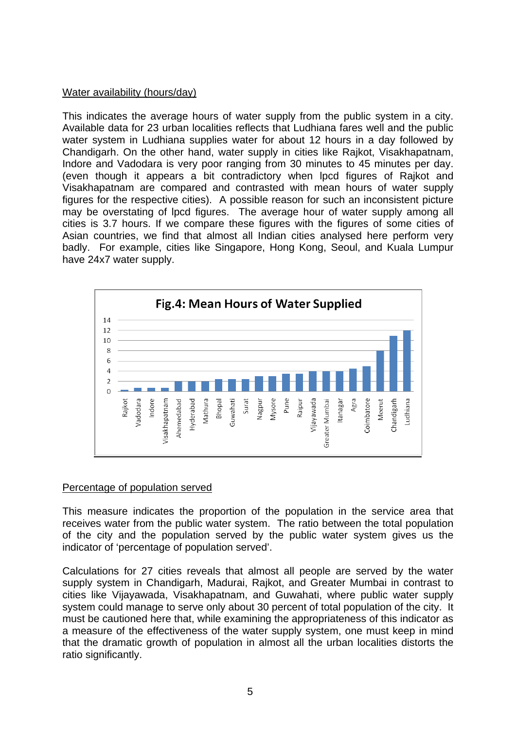## Water availability (hours/day)

This indicates the average hours of water supply from the public system in a city. Available data for 23 urban localities reflects that Ludhiana fares well and the public water system in Ludhiana supplies water for about 12 hours in a day followed by Chandigarh. On the other hand, water supply in cities like Rajkot, Visakhapatnam, Indore and Vadodara is very poor ranging from 30 minutes to 45 minutes per day. (even though it appears a bit contradictory when lpcd figures of Rajkot and Visakhapatnam are compared and contrasted with mean hours of water supply figures for the respective cities). A possible reason for such an inconsistent picture may be overstating of lpcd figures. The average hour of water supply among all cities is 3.7 hours. If we compare these figures with the figures of some cities of Asian countries, we find that almost all Indian cities analysed here perform very badly. For example, cities like Singapore, Hong Kong, Seoul, and Kuala Lumpur have 24x7 water supply.



## Percentage of population served

This measure indicates the proportion of the population in the service area that receives water from the public water system. The ratio between the total population of the city and the population served by the public water system gives us the indicator of 'percentage of population served'.

Calculations for 27 cities reveals that almost all people are served by the water supply system in Chandigarh, Madurai, Rajkot, and Greater Mumbai in contrast to cities like Vijayawada, Visakhapatnam, and Guwahati, where public water supply system could manage to serve only about 30 percent of total population of the city. It must be cautioned here that, while examining the appropriateness of this indicator as a measure of the effectiveness of the water supply system, one must keep in mind that the dramatic growth of population in almost all the urban localities distorts the ratio significantly.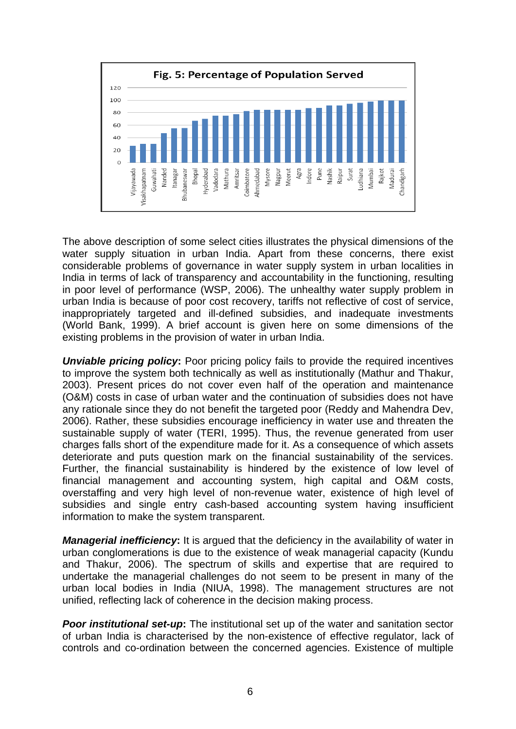

The above description of some select cities illustrates the physical dimensions of the water supply situation in urban India. Apart from these concerns, there exist considerable problems of governance in water supply system in urban localities in India in terms of lack of transparency and accountability in the functioning, resulting in poor level of performance (WSP, 2006). The unhealthy water supply problem in urban India is because of poor cost recovery, tariffs not reflective of cost of service, inappropriately targeted and ill-defined subsidies, and inadequate investments (World Bank, 1999). A brief account is given here on some dimensions of the existing problems in the provision of water in urban India.

*Unviable pricing policy***:** Poor pricing policy fails to provide the required incentives to improve the system both technically as well as institutionally (Mathur and Thakur, 2003). Present prices do not cover even half of the operation and maintenance (O&M) costs in case of urban water and the continuation of subsidies does not have any rationale since they do not benefit the targeted poor (Reddy and Mahendra Dev, 2006). Rather, these subsidies encourage inefficiency in water use and threaten the sustainable supply of water (TERI, 1995). Thus, the revenue generated from user charges falls short of the expenditure made for it. As a consequence of which assets deteriorate and puts question mark on the financial sustainability of the services. Further, the financial sustainability is hindered by the existence of low level of financial management and accounting system, high capital and O&M costs, overstaffing and very high level of non-revenue water, existence of high level of subsidies and single entry cash-based accounting system having insufficient information to make the system transparent.

*Managerial inefficiency***:** It is argued that the deficiency in the availability of water in urban conglomerations is due to the existence of weak managerial capacity (Kundu and Thakur, 2006). The spectrum of skills and expertise that are required to undertake the managerial challenges do not seem to be present in many of the urban local bodies in India (NIUA, 1998). The management structures are not unified, reflecting lack of coherence in the decision making process.

*Poor institutional set-up***:** The institutional set up of the water and sanitation sector of urban India is characterised by the non-existence of effective regulator, lack of controls and co-ordination between the concerned agencies. Existence of multiple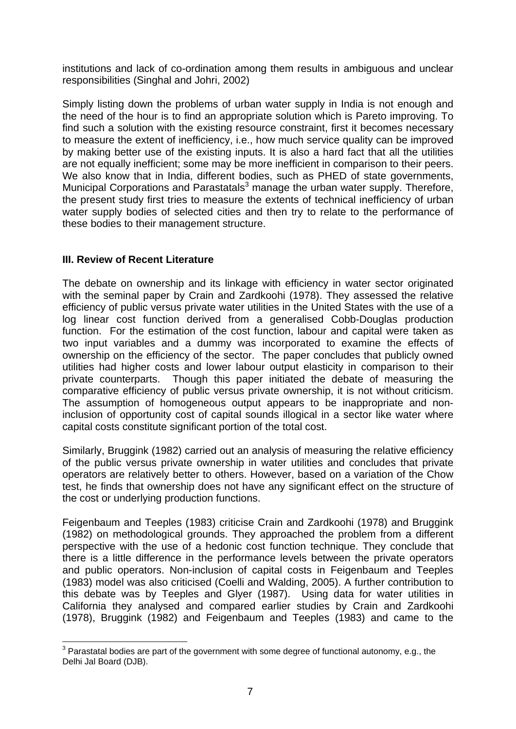institutions and lack of co-ordination among them results in ambiguous and unclear responsibilities (Singhal and Johri, 2002)

Simply listing down the problems of urban water supply in India is not enough and the need of the hour is to find an appropriate solution which is Pareto improving. To find such a solution with the existing resource constraint, first it becomes necessary to measure the extent of inefficiency, i.e., how much service quality can be improved by making better use of the existing inputs. It is also a hard fact that all the utilities are not equally inefficient; some may be more inefficient in comparison to their peers. We also know that in India, different bodies, such as PHED of state governments, Municipal Corporations and Parastatals<sup>3</sup> manage the urban water supply. Therefore, the present study first tries to measure the extents of technical inefficiency of urban water supply bodies of selected cities and then try to relate to the performance of these bodies to their management structure.

## **III. Review of Recent Literature**

The debate on ownership and its linkage with efficiency in water sector originated with the seminal paper by Crain and Zardkoohi (1978). They assessed the relative efficiency of public versus private water utilities in the United States with the use of a log linear cost function derived from a generalised Cobb-Douglas production function. For the estimation of the cost function, labour and capital were taken as two input variables and a dummy was incorporated to examine the effects of ownership on the efficiency of the sector. The paper concludes that publicly owned utilities had higher costs and lower labour output elasticity in comparison to their private counterparts. Though this paper initiated the debate of measuring the comparative efficiency of public versus private ownership, it is not without criticism. The assumption of homogeneous output appears to be inappropriate and noninclusion of opportunity cost of capital sounds illogical in a sector like water where capital costs constitute significant portion of the total cost.

Similarly, Bruggink (1982) carried out an analysis of measuring the relative efficiency of the public versus private ownership in water utilities and concludes that private operators are relatively better to others. However, based on a variation of the Chow test, he finds that ownership does not have any significant effect on the structure of the cost or underlying production functions.

Feigenbaum and Teeples (1983) criticise Crain and Zardkoohi (1978) and Bruggink (1982) on methodological grounds. They approached the problem from a different perspective with the use of a hedonic cost function technique. They conclude that there is a little difference in the performance levels between the private operators and public operators. Non-inclusion of capital costs in Feigenbaum and Teeples (1983) model was also criticised (Coelli and Walding, 2005). A further contribution to this debate was by Teeples and Glyer (1987).Using data for water utilities in California they analysed and compared earlier studies by Crain and Zardkoohi (1978), Bruggink (1982) and Feigenbaum and Teeples (1983) and came to the

<sup>1</sup>  $3$  Parastatal bodies are part of the government with some degree of functional autonomy, e.g., the Delhi Jal Board (DJB).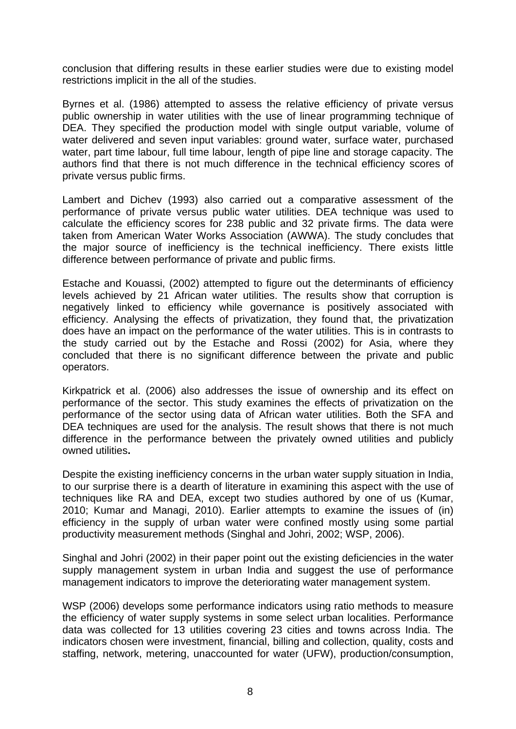conclusion that differing results in these earlier studies were due to existing model restrictions implicit in the all of the studies.

Byrnes et al. (1986) attempted to assess the relative efficiency of private versus public ownership in water utilities with the use of linear programming technique of DEA. They specified the production model with single output variable, volume of water delivered and seven input variables: ground water, surface water, purchased water, part time labour, full time labour, length of pipe line and storage capacity. The authors find that there is not much difference in the technical efficiency scores of private versus public firms.

Lambert and Dichev (1993) also carried out a comparative assessment of the performance of private versus public water utilities. DEA technique was used to calculate the efficiency scores for 238 public and 32 private firms. The data were taken from American Water Works Association (AWWA). The study concludes that the major source of inefficiency is the technical inefficiency. There exists little difference between performance of private and public firms.

Estache and Kouassi, (2002) attempted to figure out the determinants of efficiency levels achieved by 21 African water utilities. The results show that corruption is negatively linked to efficiency while governance is positively associated with efficiency. Analysing the effects of privatization, they found that, the privatization does have an impact on the performance of the water utilities. This is in contrasts to the study carried out by the Estache and Rossi (2002) for Asia, where they concluded that there is no significant difference between the private and public operators.

Kirkpatrick et al. (2006) also addresses the issue of ownership and its effect on performance of the sector. This study examines the effects of privatization on the performance of the sector using data of African water utilities. Both the SFA and DEA techniques are used for the analysis. The result shows that there is not much difference in the performance between the privately owned utilities and publicly owned utilities**.** 

Despite the existing inefficiency concerns in the urban water supply situation in India, to our surprise there is a dearth of literature in examining this aspect with the use of techniques like RA and DEA, except two studies authored by one of us (Kumar, 2010; Kumar and Managi, 2010). Earlier attempts to examine the issues of (in) efficiency in the supply of urban water were confined mostly using some partial productivity measurement methods (Singhal and Johri, 2002; WSP, 2006).

Singhal and Johri (2002) in their paper point out the existing deficiencies in the water supply management system in urban India and suggest the use of performance management indicators to improve the deteriorating water management system.

WSP (2006) develops some performance indicators using ratio methods to measure the efficiency of water supply systems in some select urban localities. Performance data was collected for 13 utilities covering 23 cities and towns across India. The indicators chosen were investment, financial, billing and collection, quality, costs and staffing, network, metering, unaccounted for water (UFW), production/consumption,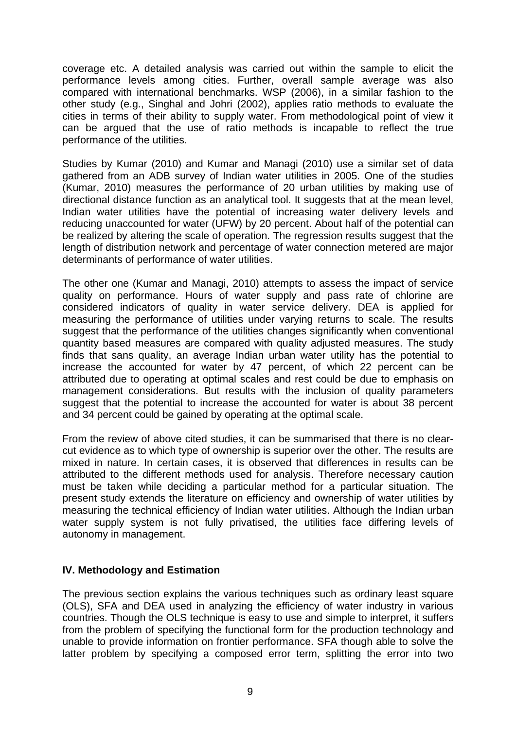coverage etc. A detailed analysis was carried out within the sample to elicit the performance levels among cities. Further, overall sample average was also compared with international benchmarks. WSP (2006), in a similar fashion to the other study (e.g., Singhal and Johri (2002), applies ratio methods to evaluate the cities in terms of their ability to supply water. From methodological point of view it can be argued that the use of ratio methods is incapable to reflect the true performance of the utilities.

Studies by Kumar (2010) and Kumar and Managi (2010) use a similar set of data gathered from an ADB survey of Indian water utilities in 2005. One of the studies (Kumar, 2010) measures the performance of 20 urban utilities by making use of directional distance function as an analytical tool. It suggests that at the mean level, Indian water utilities have the potential of increasing water delivery levels and reducing unaccounted for water (UFW) by 20 percent. About half of the potential can be realized by altering the scale of operation. The regression results suggest that the length of distribution network and percentage of water connection metered are major determinants of performance of water utilities.

The other one (Kumar and Managi, 2010) attempts to assess the impact of service quality on performance. Hours of water supply and pass rate of chlorine are considered indicators of quality in water service delivery. DEA is applied for measuring the performance of utilities under varying returns to scale. The results suggest that the performance of the utilities changes significantly when conventional quantity based measures are compared with quality adjusted measures. The study finds that sans quality, an average Indian urban water utility has the potential to increase the accounted for water by 47 percent, of which 22 percent can be attributed due to operating at optimal scales and rest could be due to emphasis on management considerations. But results with the inclusion of quality parameters suggest that the potential to increase the accounted for water is about 38 percent and 34 percent could be gained by operating at the optimal scale.

From the review of above cited studies, it can be summarised that there is no clearcut evidence as to which type of ownership is superior over the other. The results are mixed in nature. In certain cases, it is observed that differences in results can be attributed to the different methods used for analysis. Therefore necessary caution must be taken while deciding a particular method for a particular situation. The present study extends the literature on efficiency and ownership of water utilities by measuring the technical efficiency of Indian water utilities. Although the Indian urban water supply system is not fully privatised, the utilities face differing levels of autonomy in management.

## **IV. Methodology and Estimation**

The previous section explains the various techniques such as ordinary least square (OLS), SFA and DEA used in analyzing the efficiency of water industry in various countries. Though the OLS technique is easy to use and simple to interpret, it suffers from the problem of specifying the functional form for the production technology and unable to provide information on frontier performance. SFA though able to solve the latter problem by specifying a composed error term, splitting the error into two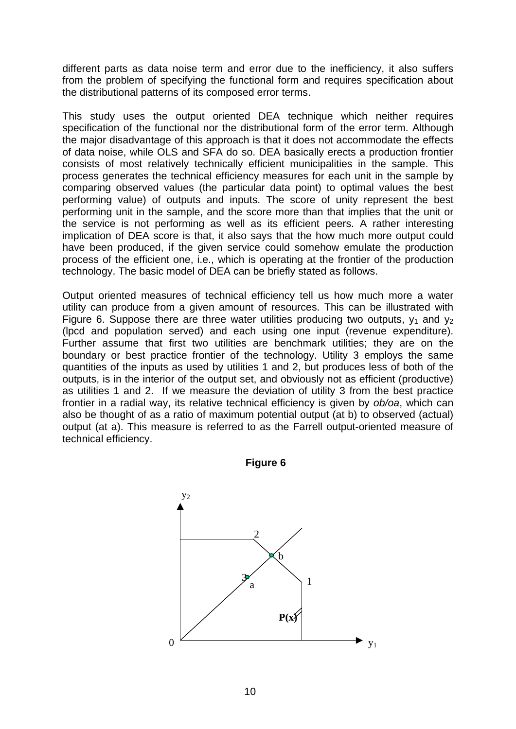different parts as data noise term and error due to the inefficiency, it also suffers from the problem of specifying the functional form and requires specification about the distributional patterns of its composed error terms.

This study uses the output oriented DEA technique which neither requires specification of the functional nor the distributional form of the error term. Although the major disadvantage of this approach is that it does not accommodate the effects of data noise, while OLS and SFA do so. DEA basically erects a production frontier consists of most relatively technically efficient municipalities in the sample. This process generates the technical efficiency measures for each unit in the sample by comparing observed values (the particular data point) to optimal values the best performing value) of outputs and inputs. The score of unity represent the best performing unit in the sample, and the score more than that implies that the unit or the service is not performing as well as its efficient peers. A rather interesting implication of DEA score is that, it also says that the how much more output could have been produced, if the given service could somehow emulate the production process of the efficient one, i.e., which is operating at the frontier of the production technology. The basic model of DEA can be briefly stated as follows.

Output oriented measures of technical efficiency tell us how much more a water utility can produce from a given amount of resources. This can be illustrated with Figure 6. Suppose there are three water utilities producing two outputs,  $y_1$  and  $y_2$ (lpcd and population served) and each using one input (revenue expenditure). Further assume that first two utilities are benchmark utilities; they are on the boundary or best practice frontier of the technology. Utility 3 employs the same quantities of the inputs as used by utilities 1 and 2, but produces less of both of the outputs, is in the interior of the output set, and obviously not as efficient (productive) as utilities 1 and 2. If we measure the deviation of utility 3 from the best practice frontier in a radial way, its relative technical efficiency is given by *ob/oa*, which can also be thought of as a ratio of maximum potential output (at b) to observed (actual) output (at a). This measure is referred to as the Farrell output-oriented measure of technical efficiency.



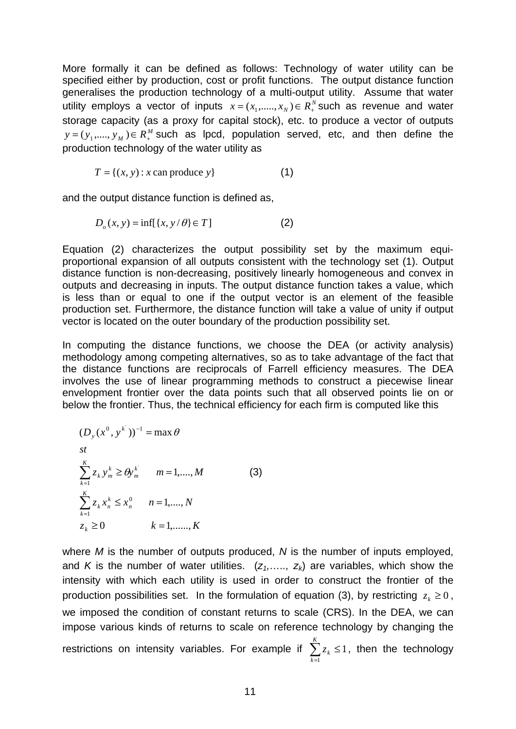More formally it can be defined as follows: Technology of water utility can be specified either by production, cost or profit functions. The output distance function generalises the production technology of a multi-output utility. Assume that water utility employs a vector of inputs  $x = (x_1, \ldots, x_N) \in R_+^N$  such as revenue and water storage capacity (as a proxy for capital stock), etc. to produce a vector of outputs  $y = (y_1, \dots, y_M) \in R_{+}^M$  such as lpcd, population served, etc, and then define the production technology of the water utility as

$$
T = \{(x, y) : x \text{ can produce } y\}
$$
 (1)

and the output distance function is defined as,

$$
D_o(x, y) = \inf[\{x, y/\theta\} \in T]
$$
 (2)

Equation (2) characterizes the output possibility set by the maximum equiproportional expansion of all outputs consistent with the technology set (1). Output distance function is non-decreasing, positively linearly homogeneous and convex in outputs and decreasing in inputs. The output distance function takes a value, which is less than or equal to one if the output vector is an element of the feasible production set. Furthermore, the distance function will take a value of unity if output vector is located on the outer boundary of the production possibility set.

In computing the distance functions, we choose the DEA (or activity analysis) methodology among competing alternatives, so as to take advantage of the fact that the distance functions are reciprocals of Farrell efficiency measures. The DEA involves the use of linear programming methods to construct a piecewise linear envelopment frontier over the data points such that all observed points lie on or below the frontier. Thus, the technical efficiency for each firm is computed like this

$$
(D_{y}(x^{0}, y^{k}))^{-1} = \max \theta
$$
  
\n
$$
\sum_{k=1}^{K} z_{k} y_{m}^{k} \ge \theta y_{m}^{k} \qquad m = 1, ..., M
$$
  
\n
$$
\sum_{k=1}^{K} z_{k} x_{n}^{k} \le x_{n}^{0} \qquad n = 1, ..., N
$$
  
\n
$$
z_{k} \ge 0 \qquad k = 1, ..., K
$$
 (3)

where *M* is the number of outputs produced, *N* is the number of inputs employed, and *K* is the number of water utilities.  $(z_1, \ldots, z_k)$  are variables, which show the intensity with which each utility is used in order to construct the frontier of the production possibilities set. In the formulation of equation (3), by restricting  $z_k \ge 0$ , we imposed the condition of constant returns to scale (CRS). In the DEA, we can impose various kinds of returns to scale on reference technology by changing the restrictions on intensity variables. For example if  $\sum_{k=1}^{\infty}$  $\leq$ *K k z* 1, then the technology

*k*

1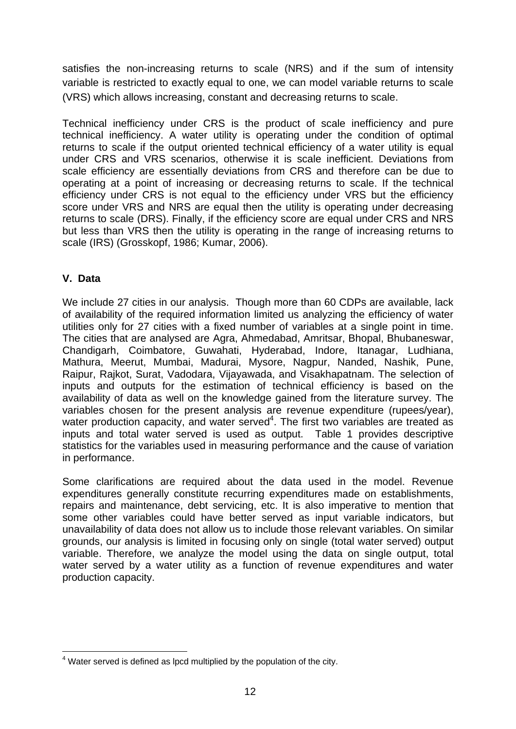satisfies the non-increasing returns to scale (NRS) and if the sum of intensity variable is restricted to exactly equal to one, we can model variable returns to scale (VRS) which allows increasing, constant and decreasing returns to scale.

Technical inefficiency under CRS is the product of scale inefficiency and pure technical inefficiency. A water utility is operating under the condition of optimal returns to scale if the output oriented technical efficiency of a water utility is equal under CRS and VRS scenarios, otherwise it is scale inefficient. Deviations from scale efficiency are essentially deviations from CRS and therefore can be due to operating at a point of increasing or decreasing returns to scale. If the technical efficiency under CRS is not equal to the efficiency under VRS but the efficiency score under VRS and NRS are equal then the utility is operating under decreasing returns to scale (DRS). Finally, if the efficiency score are equal under CRS and NRS but less than VRS then the utility is operating in the range of increasing returns to scale (IRS) (Grosskopf, 1986; Kumar, 2006).

## **V. Data**

We include 27 cities in our analysis. Though more than 60 CDPs are available, lack of availability of the required information limited us analyzing the efficiency of water utilities only for 27 cities with a fixed number of variables at a single point in time. The cities that are analysed are Agra, Ahmedabad, Amritsar, Bhopal, Bhubaneswar, Chandigarh, Coimbatore, Guwahati, Hyderabad, Indore, Itanagar, Ludhiana, Mathura, Meerut, Mumbai, Madurai, Mysore, Nagpur, Nanded, Nashik, Pune, Raipur, Rajkot, Surat, Vadodara, Vijayawada, and Visakhapatnam. The selection of inputs and outputs for the estimation of technical efficiency is based on the availability of data as well on the knowledge gained from the literature survey. The variables chosen for the present analysis are revenue expenditure (rupees/year), water production capacity, and water served $4$ . The first two variables are treated as inputs and total water served is used as output. Table 1 provides descriptive statistics for the variables used in measuring performance and the cause of variation in performance.

Some clarifications are required about the data used in the model. Revenue expenditures generally constitute recurring expenditures made on establishments, repairs and maintenance, debt servicing, etc. It is also imperative to mention that some other variables could have better served as input variable indicators, but unavailability of data does not allow us to include those relevant variables. On similar grounds, our analysis is limited in focusing only on single (total water served) output variable. Therefore, we analyze the model using the data on single output, total water served by a water utility as a function of revenue expenditures and water production capacity.

<sup>1</sup>  $4$  Water served is defined as lpcd multiplied by the population of the city.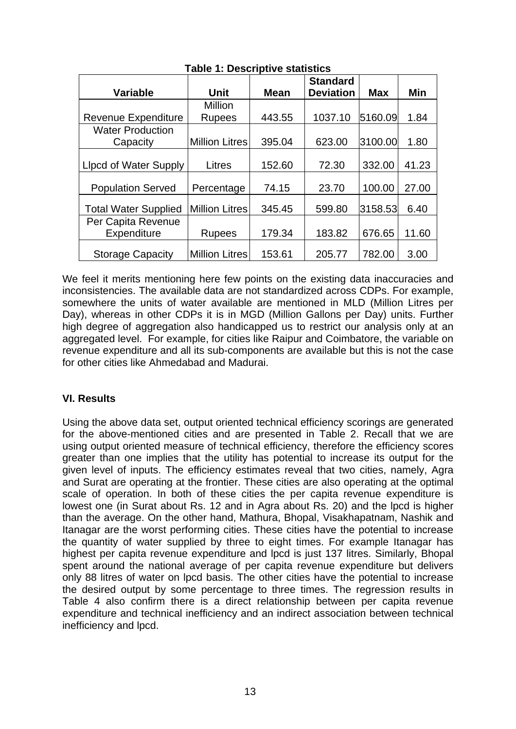|                              |                       |             | <b>Standard</b>  |            |       |
|------------------------------|-----------------------|-------------|------------------|------------|-------|
| <b>Variable</b>              | Unit                  | <b>Mean</b> | <b>Deviation</b> | <b>Max</b> | Min   |
|                              | Million               |             |                  |            |       |
| <b>Revenue Expenditure</b>   | <b>Rupees</b>         | 443.55      | 1037.10          | 5160.09    | 1.84  |
| <b>Water Production</b>      |                       |             |                  |            |       |
| Capacity                     | <b>Million Litres</b> | 395.04      | 623.00           | 3100.00    | 1.80  |
|                              |                       |             |                  |            |       |
| <b>Lipcd of Water Supply</b> | Litres                | 152.60      | 72.30            | 332.00     | 41.23 |
|                              |                       |             |                  |            |       |
| <b>Population Served</b>     | Percentage            | 74.15       | 23.70            | 100.00     | 27.00 |
| <b>Total Water Supplied</b>  | <b>Million Litres</b> | 345.45      | 599.80           | 3158.53    | 6.40  |
| Per Capita Revenue           |                       |             |                  |            |       |
| Expenditure                  | Rupees                | 179.34      | 183.82           | 676.65     | 11.60 |
| <b>Storage Capacity</b>      | <b>Million Litres</b> | 153.61      | 205.77           | 782.00     | 3.00  |

## **Table 1: Descriptive statistics**

We feel it merits mentioning here few points on the existing data inaccuracies and inconsistencies. The available data are not standardized across CDPs. For example, somewhere the units of water available are mentioned in MLD (Million Litres per Day), whereas in other CDPs it is in MGD (Million Gallons per Day) units. Further high degree of aggregation also handicapped us to restrict our analysis only at an aggregated level. For example, for cities like Raipur and Coimbatore, the variable on revenue expenditure and all its sub-components are available but this is not the case for other cities like Ahmedabad and Madurai.

## **VI. Results**

Using the above data set, output oriented technical efficiency scorings are generated for the above-mentioned cities and are presented in Table 2. Recall that we are using output oriented measure of technical efficiency, therefore the efficiency scores greater than one implies that the utility has potential to increase its output for the given level of inputs. The efficiency estimates reveal that two cities, namely, Agra and Surat are operating at the frontier. These cities are also operating at the optimal scale of operation. In both of these cities the per capita revenue expenditure is lowest one (in Surat about Rs. 12 and in Agra about Rs. 20) and the lpcd is higher than the average. On the other hand, Mathura, Bhopal, Visakhapatnam, Nashik and Itanagar are the worst performing cities. These cities have the potential to increase the quantity of water supplied by three to eight times. For example Itanagar has highest per capita revenue expenditure and lpcd is just 137 litres. Similarly, Bhopal spent around the national average of per capita revenue expenditure but delivers only 88 litres of water on lpcd basis. The other cities have the potential to increase the desired output by some percentage to three times. The regression results in Table 4 also confirm there is a direct relationship between per capita revenue expenditure and technical inefficiency and an indirect association between technical inefficiency and lpcd.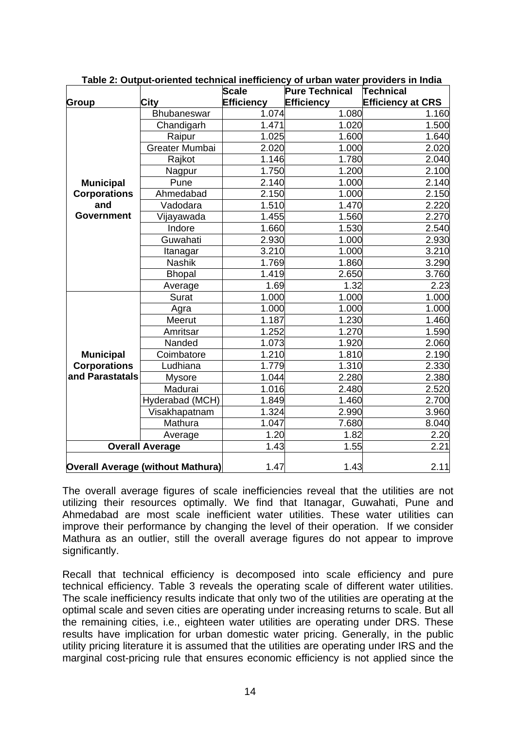|                     |                                          | <b>Scale</b>      | <b>Pure Technical</b> | <b>Technical</b>         |
|---------------------|------------------------------------------|-------------------|-----------------------|--------------------------|
| Group               | City                                     | <b>Efficiency</b> | <b>Efficiency</b>     | <b>Efficiency at CRS</b> |
|                     | Bhubaneswar                              | 1.074             | 1.080                 | 1.160                    |
|                     | Chandigarh                               | 1.471             | 1.020                 | 1.500                    |
|                     | Raipur                                   | 1.025             | 1.600                 | 1.640                    |
|                     | Greater Mumbai                           | 2.020             | 1.000                 | 2.020                    |
|                     | Rajkot                                   | 1.146             | 1.780                 | 2.040                    |
|                     | Nagpur                                   | 1.750             | 1.200                 | 2.100                    |
| <b>Municipal</b>    | Pune                                     | 2.140             | 1.000                 | 2.140                    |
| <b>Corporations</b> | Ahmedabad                                | 2.150             | 1.000                 | 2.150                    |
| and                 | Vadodara                                 | 1.510             | 1.470                 | 2.220                    |
| <b>Government</b>   | Vijayawada                               | 1.455             | 1.560                 | 2.270                    |
|                     | Indore                                   | 1.660             | 1.530                 | 2.540                    |
|                     | Guwahati                                 | 2.930             | 1.000                 | 2.930                    |
|                     | Itanagar                                 | 3.210             | 1.000                 | 3.210                    |
|                     | <b>Nashik</b>                            | 1.769             | 1.860                 | 3.290                    |
|                     | <b>Bhopal</b>                            | 1.419             | 2.650                 | 3.760                    |
|                     | Average                                  | 1.69              | 1.32                  | 2.23                     |
|                     | Surat                                    | 1.000             | 1.000                 | 1.000                    |
|                     | Agra                                     | 1.000             | 1.000                 | 1.000                    |
|                     | Meerut                                   | 1.187             | 1.230                 | 1.460                    |
|                     | Amritsar                                 | 1.252             | 1.270                 | 1.590                    |
|                     | Nanded                                   | 1.073             | 1.920                 | 2.060                    |
| <b>Municipal</b>    | Coimbatore                               | 1.210             | 1.810                 | 2.190                    |
| <b>Corporations</b> | Ludhiana                                 | 1.779             | 1.310                 | 2.330                    |
| and Parastatals     | <b>Mysore</b>                            | 1.044             | 2.280                 | 2.380                    |
|                     | Madurai                                  | 1.016             | 2.480                 | 2.520                    |
|                     | Hyderabad (MCH)                          | 1.849             | 1.460                 | 2.700                    |
|                     | Visakhapatnam                            | 1.324             | 2.990                 | 3.960                    |
|                     | Mathura                                  | 1.047             | 7.680                 | 8.040                    |
|                     | Average                                  | 1.20              | 1.82                  | 2.20                     |
|                     | <b>Overall Average</b>                   | 1.43              | 1.55                  | 2.21                     |
|                     | <b>Overall Average (without Mathura)</b> | 1.47              | 1.43                  | 2.11                     |

**Table 2: Output-oriented technical inefficiency of urban water providers in India**

The overall average figures of scale inefficiencies reveal that the utilities are not utilizing their resources optimally. We find that Itanagar, Guwahati, Pune and Ahmedabad are most scale inefficient water utilities. These water utilities can improve their performance by changing the level of their operation. If we consider Mathura as an outlier, still the overall average figures do not appear to improve significantly.

Recall that technical efficiency is decomposed into scale efficiency and pure technical efficiency. Table 3 reveals the operating scale of different water utilities. The scale inefficiency results indicate that only two of the utilities are operating at the optimal scale and seven cities are operating under increasing returns to scale. But all the remaining cities, i.e., eighteen water utilities are operating under DRS. These results have implication for urban domestic water pricing. Generally, in the public utility pricing literature it is assumed that the utilities are operating under IRS and the marginal cost-pricing rule that ensures economic efficiency is not applied since the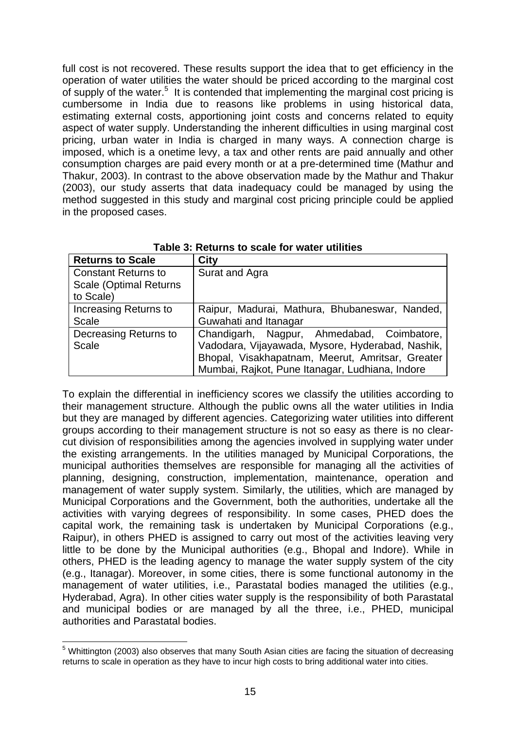full cost is not recovered. These results support the idea that to get efficiency in the operation of water utilities the water should be priced according to the marginal cost of supply of the water.<sup>5</sup> It is contended that implementing the marginal cost pricing is cumbersome in India due to reasons like problems in using historical data, estimating external costs, apportioning joint costs and concerns related to equity aspect of water supply. Understanding the inherent difficulties in using marginal cost pricing, urban water in India is charged in many ways. A connection charge is imposed, which is a onetime levy, a tax and other rents are paid annually and other consumption charges are paid every month or at a pre-determined time (Mathur and Thakur, 2003). In contrast to the above observation made by the Mathur and Thakur (2003), our study asserts that data inadequacy could be managed by using the method suggested in this study and marginal cost pricing principle could be applied in the proposed cases.

| <b>Returns to Scale</b>        | <b>City</b>                                      |
|--------------------------------|--------------------------------------------------|
| <b>Constant Returns to</b>     | Surat and Agra                                   |
| <b>Scale (Optimal Returns)</b> |                                                  |
| to Scale)                      |                                                  |
| Increasing Returns to          | Raipur, Madurai, Mathura, Bhubaneswar, Nanded,   |
| <b>Scale</b>                   | Guwahati and Itanagar                            |
| Decreasing Returns to          | Chandigarh, Nagpur, Ahmedabad, Coimbatore,       |
| Scale                          | Vadodara, Vijayawada, Mysore, Hyderabad, Nashik, |
|                                | Bhopal, Visakhapatnam, Meerut, Amritsar, Greater |
|                                | Mumbai, Rajkot, Pune Itanagar, Ludhiana, Indore  |

**Table 3: Returns to scale for water utilities** 

To explain the differential in inefficiency scores we classify the utilities according to their management structure. Although the public owns all the water utilities in India but they are managed by different agencies. Categorizing water utilities into different groups according to their management structure is not so easy as there is no clearcut division of responsibilities among the agencies involved in supplying water under the existing arrangements. In the utilities managed by Municipal Corporations, the municipal authorities themselves are responsible for managing all the activities of planning, designing, construction, implementation, maintenance, operation and management of water supply system. Similarly, the utilities, which are managed by Municipal Corporations and the Government, both the authorities, undertake all the activities with varying degrees of responsibility. In some cases, PHED does the capital work, the remaining task is undertaken by Municipal Corporations (e.g., Raipur), in others PHED is assigned to carry out most of the activities leaving very little to be done by the Municipal authorities (e.g., Bhopal and Indore). While in others, PHED is the leading agency to manage the water supply system of the city (e.g., Itanagar). Moreover, in some cities, there is some functional autonomy in the management of water utilities, i.e., Parastatal bodies managed the utilities (e.g., Hyderabad, Agra). In other cities water supply is the responsibility of both Parastatal and municipal bodies or are managed by all the three, i.e., PHED, municipal authorities and Parastatal bodies.

<sup>1</sup> <sup>5</sup> Whittington (2003) also observes that many South Asian cities are facing the situation of decreasing returns to scale in operation as they have to incur high costs to bring additional water into cities.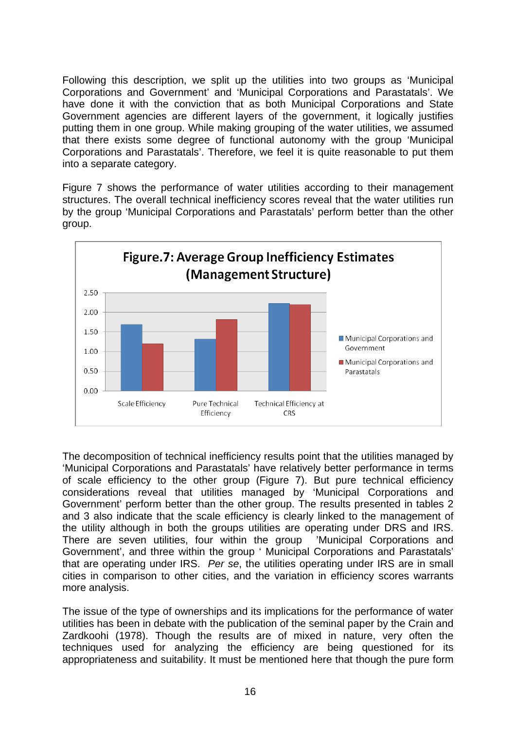Following this description, we split up the utilities into two groups as 'Municipal Corporations and Government' and 'Municipal Corporations and Parastatals'. We have done it with the conviction that as both Municipal Corporations and State Government agencies are different layers of the government, it logically justifies putting them in one group. While making grouping of the water utilities, we assumed that there exists some degree of functional autonomy with the group 'Municipal Corporations and Parastatals'. Therefore, we feel it is quite reasonable to put them into a separate category.

Figure 7 shows the performance of water utilities according to their management structures. The overall technical inefficiency scores reveal that the water utilities run by the group 'Municipal Corporations and Parastatals' perform better than the other group.



The decomposition of technical inefficiency results point that the utilities managed by 'Municipal Corporations and Parastatals' have relatively better performance in terms of scale efficiency to the other group (Figure 7). But pure technical efficiency considerations reveal that utilities managed by 'Municipal Corporations and Government' perform better than the other group. The results presented in tables 2 and 3 also indicate that the scale efficiency is clearly linked to the management of the utility although in both the groups utilities are operating under DRS and IRS. There are seven utilities, four within the group 'Municipal Corporations and Government', and three within the group ' Municipal Corporations and Parastatals' that are operating under IRS. *Per se*, the utilities operating under IRS are in small cities in comparison to other cities, and the variation in efficiency scores warrants more analysis.

The issue of the type of ownerships and its implications for the performance of water utilities has been in debate with the publication of the seminal paper by the Crain and Zardkoohi (1978). Though the results are of mixed in nature, very often the techniques used for analyzing the efficiency are being questioned for its appropriateness and suitability. It must be mentioned here that though the pure form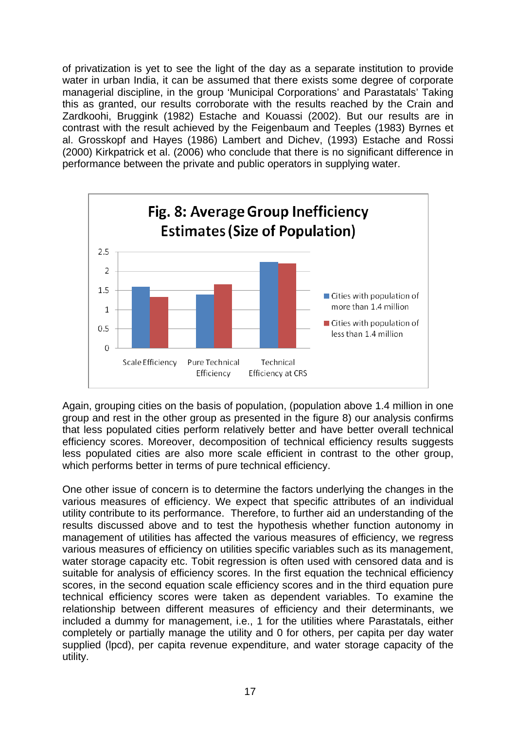of privatization is yet to see the light of the day as a separate institution to provide water in urban India, it can be assumed that there exists some degree of corporate managerial discipline, in the group 'Municipal Corporations' and Parastatals' Taking this as granted, our results corroborate with the results reached by the Crain and Zardkoohi, Bruggink (1982) Estache and Kouassi (2002). But our results are in contrast with the result achieved by the Feigenbaum and Teeples (1983) Byrnes et al. Grosskopf and Hayes (1986) Lambert and Dichev, (1993) Estache and Rossi (2000) Kirkpatrick et al. (2006) who conclude that there is no significant difference in performance between the private and public operators in supplying water.



Again, grouping cities on the basis of population, (population above 1.4 million in one group and rest in the other group as presented in the figure 8) our analysis confirms that less populated cities perform relatively better and have better overall technical efficiency scores. Moreover, decomposition of technical efficiency results suggests less populated cities are also more scale efficient in contrast to the other group, which performs better in terms of pure technical efficiency.

One other issue of concern is to determine the factors underlying the changes in the various measures of efficiency. We expect that specific attributes of an individual utility contribute to its performance. Therefore, to further aid an understanding of the results discussed above and to test the hypothesis whether function autonomy in management of utilities has affected the various measures of efficiency, we regress various measures of efficiency on utilities specific variables such as its management, water storage capacity etc. Tobit regression is often used with censored data and is suitable for analysis of efficiency scores. In the first equation the technical efficiency scores, in the second equation scale efficiency scores and in the third equation pure technical efficiency scores were taken as dependent variables. To examine the relationship between different measures of efficiency and their determinants, we included a dummy for management, i.e., 1 for the utilities where Parastatals, either completely or partially manage the utility and 0 for others, per capita per day water supplied (lpcd), per capita revenue expenditure, and water storage capacity of the utility.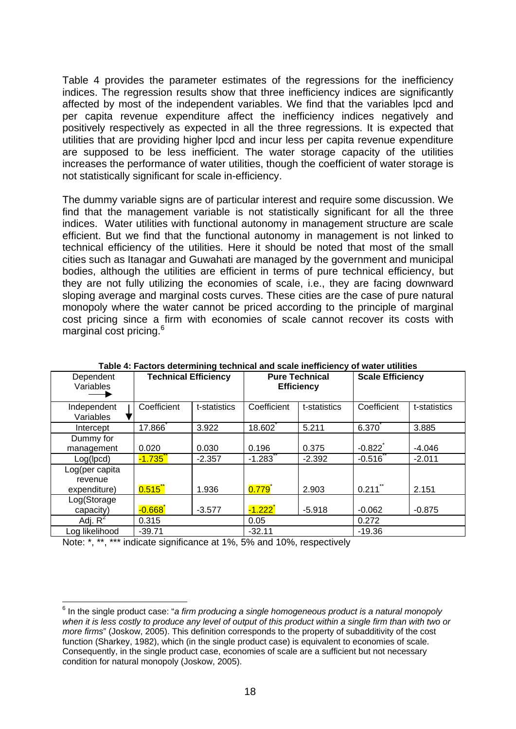Table 4 provides the parameter estimates of the regressions for the inefficiency indices. The regression results show that three inefficiency indices are significantly affected by most of the independent variables. We find that the variables lpcd and per capita revenue expenditure affect the inefficiency indices negatively and positively respectively as expected in all the three regressions. It is expected that utilities that are providing higher lpcd and incur less per capita revenue expenditure are supposed to be less inefficient. The water storage capacity of the utilities increases the performance of water utilities, though the coefficient of water storage is not statistically significant for scale in-efficiency.

The dummy variable signs are of particular interest and require some discussion. We find that the management variable is not statistically significant for all the three indices. Water utilities with functional autonomy in management structure are scale efficient. But we find that the functional autonomy in management is not linked to technical efficiency of the utilities. Here it should be noted that most of the small cities such as Itanagar and Guwahati are managed by the government and municipal bodies, although the utilities are efficient in terms of pure technical efficiency, but they are not fully utilizing the economies of scale, i.e., they are facing downward sloping average and marginal costs curves. These cities are the case of pure natural monopoly where the water cannot be priced according to the principle of marginal cost pricing since a firm with economies of scale cannot recover its costs with marginal cost pricing.<sup>6</sup>

| Dependent<br>Variables                    | <b>Technical Efficiency</b> |              | <b>Pure Technical</b><br><b>Efficiency</b> |              | <b>Scale Efficiency</b> |              |
|-------------------------------------------|-----------------------------|--------------|--------------------------------------------|--------------|-------------------------|--------------|
| Independent<br>Variables                  | Coefficient                 | t-statistics | Coefficient                                | t-statistics | Coefficient             | t-statistics |
| Intercept                                 | 17.866 <sup>*</sup>         | 3.922        | 18.602                                     | 5.211        | 6.370                   | 3.885        |
| Dummy for<br>management                   | 0.020                       | 0.030        | 0.196                                      | 0.375        | $-0.822$                | $-4.046$     |
| Log(h, c)                                 | $-1.735$ <sup>*</sup>       | $-2.357$     | $-1.283$                                   | $-2.392$     | $-0.516$                | $-2.011$     |
| Log(per capita<br>revenue<br>expenditure) | 0.515                       | 1.936        | 0.779                                      | 2.903        | $0.211$ **              | 2.151        |
| Log(Storage<br>capacity)                  | $-0.668$                    | $-3.577$     | $-1.222$ ້                                 | $-5.918$     | $-0.062$                | $-0.875$     |
| Adj. $R^2$                                | 0.315                       |              | 0.05                                       |              | 0.272                   |              |
| Log likelihood                            | $-39.71$                    |              | $-32.11$                                   |              | $-19.36$                |              |

**Table 4: Factors determining technical and scale inefficiency of water utilities** 

Note: \*, \*\*, \*\*\* indicate significance at 1%, 5% and 10%, respectively

1

<sup>6</sup> In the single product case: "*a firm producing a single homogeneous product is a natural monopoly when it is less costly to produce any level of output of this product within a single firm than with two or more firms*" (Joskow, 2005). This definition corresponds to the property of subadditivity of the cost function (Sharkey, 1982), which (in the single product case) is equivalent to economies of scale. Consequently, in the single product case, economies of scale are a sufficient but not necessary condition for natural monopoly (Joskow, 2005).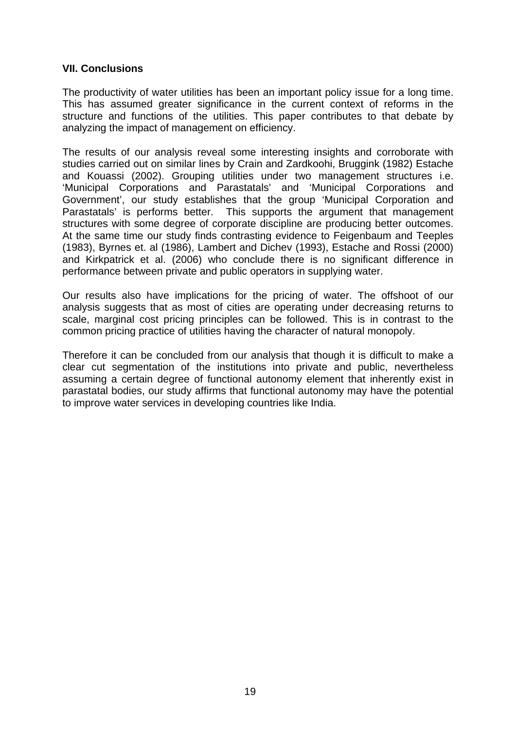#### **VII. Conclusions**

The productivity of water utilities has been an important policy issue for a long time. This has assumed greater significance in the current context of reforms in the structure and functions of the utilities. This paper contributes to that debate by analyzing the impact of management on efficiency.

The results of our analysis reveal some interesting insights and corroborate with studies carried out on similar lines by Crain and Zardkoohi, Bruggink (1982) Estache and Kouassi (2002). Grouping utilities under two management structures i.e. 'Municipal Corporations and Parastatals' and 'Municipal Corporations and Government', our study establishes that the group 'Municipal Corporation and Parastatals' is performs better. This supports the argument that management structures with some degree of corporate discipline are producing better outcomes. At the same time our study finds contrasting evidence to Feigenbaum and Teeples (1983), Byrnes et. al (1986), Lambert and Dichev (1993), Estache and Rossi (2000) and Kirkpatrick et al. (2006) who conclude there is no significant difference in performance between private and public operators in supplying water.

Our results also have implications for the pricing of water. The offshoot of our analysis suggests that as most of cities are operating under decreasing returns to scale, marginal cost pricing principles can be followed. This is in contrast to the common pricing practice of utilities having the character of natural monopoly.

Therefore it can be concluded from our analysis that though it is difficult to make a clear cut segmentation of the institutions into private and public, nevertheless assuming a certain degree of functional autonomy element that inherently exist in parastatal bodies, our study affirms that functional autonomy may have the potential to improve water services in developing countries like India.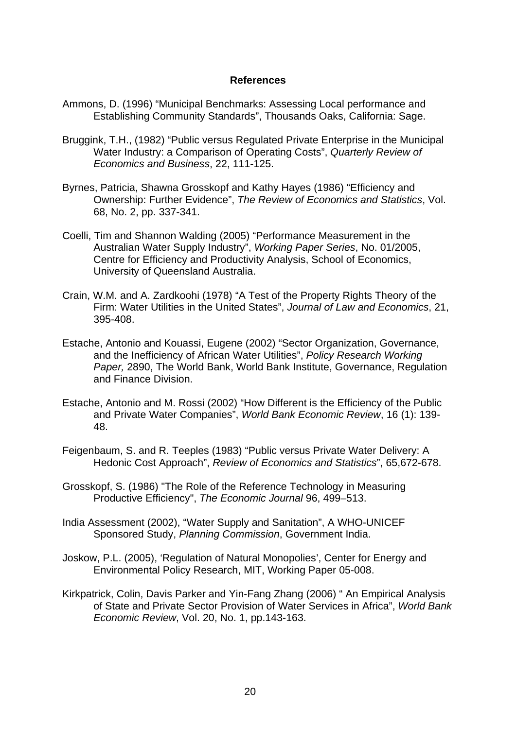#### **References**

- Ammons, D. (1996) "Municipal Benchmarks: Assessing Local performance and Establishing Community Standards", Thousands Oaks, California: Sage.
- Bruggink, T.H., (1982) "Public versus Regulated Private Enterprise in the Municipal Water Industry: a Comparison of Operating Costs", *Quarterly Review of Economics and Business*, 22, 111-125.
- Byrnes, Patricia, Shawna Grosskopf and Kathy Hayes (1986) "Efficiency and Ownership: Further Evidence", *The Review of Economics and Statistics*, Vol. 68, No. 2, pp. 337-341.
- Coelli, Tim and Shannon Walding (2005) "Performance Measurement in the Australian Water Supply Industry", *Working Paper Series*, No. 01/2005, Centre for Efficiency and Productivity Analysis, School of Economics, University of Queensland Australia.
- Crain, W.M. and A. Zardkoohi (1978) "A Test of the Property Rights Theory of the Firm: Water Utilities in the United States", *Journal of Law and Economics*, 21, 395-408.
- Estache, Antonio and Kouassi, Eugene (2002) "Sector Organization, Governance, and the Inefficiency of African Water Utilities", *Policy Research Working Paper,* 2890, The World Bank, World Bank Institute, Governance, Regulation and Finance Division.
- Estache, Antonio and M. Rossi (2002) "How Different is the Efficiency of the Public and Private Water Companies", *World Bank Economic Review*, 16 (1): 139- 48.
- Feigenbaum, S. and R. Teeples (1983) "Public versus Private Water Delivery: A Hedonic Cost Approach", *Review of Economics and Statistics*", 65,672-678.
- Grosskopf, S. (1986) "The Role of the Reference Technology in Measuring Productive Efficiency", *The Economic Journal* 96, 499–513.
- India Assessment (2002), "Water Supply and Sanitation", A WHO-UNICEF Sponsored Study, *Planning Commission*, Government India.
- Joskow, P.L. (2005), 'Regulation of Natural Monopolies', Center for Energy and Environmental Policy Research, MIT, Working Paper 05-008.
- Kirkpatrick, Colin, Davis Parker and Yin-Fang Zhang (2006) " An Empirical Analysis of State and Private Sector Provision of Water Services in Africa", *World Bank Economic Review*, Vol. 20, No. 1, pp.143-163.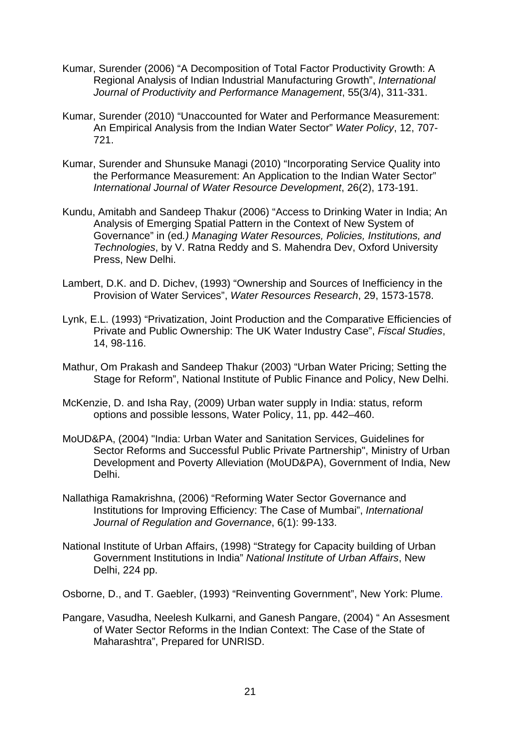- Kumar, Surender (2006) "A Decomposition of Total Factor Productivity Growth: A Regional Analysis of Indian Industrial Manufacturing Growth", *International Journal of Productivity and Performance Management*, 55(3/4), 311-331.
- Kumar, Surender (2010) "Unaccounted for Water and Performance Measurement: An Empirical Analysis from the Indian Water Sector" *Water Policy*, 12, 707- 721.
- Kumar, Surender and Shunsuke Managi (2010) "Incorporating Service Quality into the Performance Measurement: An Application to the Indian Water Sector" *International Journal of Water Resource Development*, 26(2), 173-191.
- Kundu, Amitabh and Sandeep Thakur (2006) "Access to Drinking Water in India; An Analysis of Emerging Spatial Pattern in the Context of New System of Governance" in (ed*.) Managing Water Resources, Policies, Institutions, and Technologies*, by V. Ratna Reddy and S. Mahendra Dev, Oxford University Press, New Delhi.
- Lambert, D.K. and D. Dichev, (1993) "Ownership and Sources of Inefficiency in the Provision of Water Services", *Water Resources Research*, 29, 1573-1578.
- Lynk, E.L. (1993) "Privatization, Joint Production and the Comparative Efficiencies of Private and Public Ownership: The UK Water Industry Case", *Fiscal Studies*, 14, 98-116.
- Mathur, Om Prakash and Sandeep Thakur (2003) "Urban Water Pricing; Setting the Stage for Reform", National Institute of Public Finance and Policy, New Delhi.
- McKenzie, D. and Isha Ray, (2009) Urban water supply in India: status, reform options and possible lessons, Water Policy, 11, pp. 442–460.
- MoUD&PA, (2004) "India: Urban Water and Sanitation Services, Guidelines for Sector Reforms and Successful Public Private Partnership", Ministry of Urban Development and Poverty Alleviation (MoUD&PA), Government of India, New Delhi.
- Nallathiga Ramakrishna, (2006) "Reforming Water Sector Governance and Institutions for Improving Efficiency: The Case of Mumbai", *International Journal of Regulation and Governance*, 6(1): 99-133.
- National Institute of Urban Affairs, (1998) "Strategy for Capacity building of Urban Government Institutions in India" *National Institute of Urban Affairs*, New Delhi, 224 pp.
- Osborne, D., and T. Gaebler, (1993) "Reinventing Government", New York: Plume.
- Pangare, Vasudha, Neelesh Kulkarni, and Ganesh Pangare, (2004) " An Assesment of Water Sector Reforms in the Indian Context: The Case of the State of Maharashtra", Prepared for UNRISD.